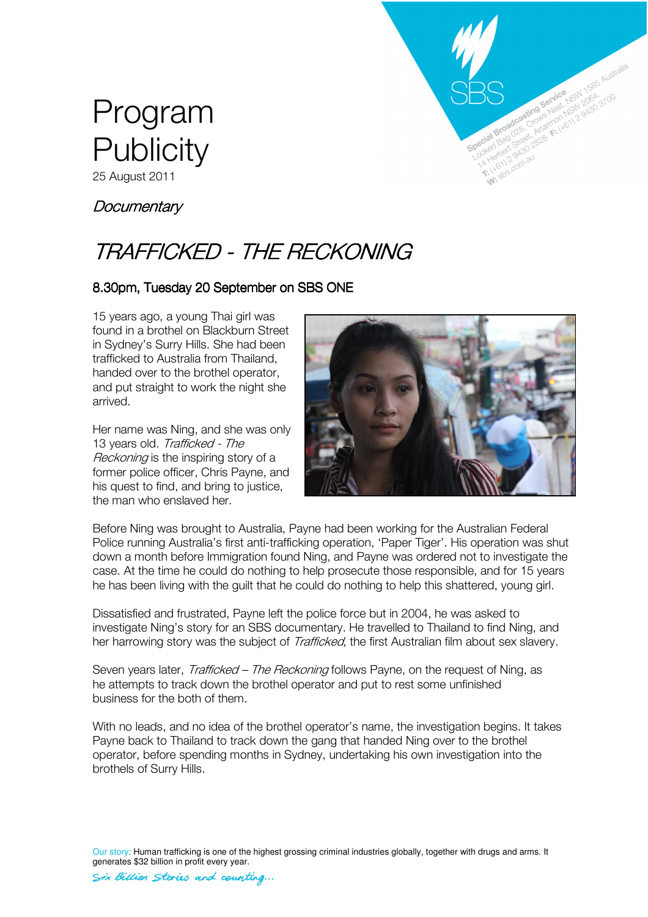



# **Documentary**

# TRAFFICKED - THE RECKONING

# 8.30pm, Tuesday 20 September on SBS ONE

15 years ago, a young Thai girl was found in a brothel on Blackburn Street in Sydney's Surry Hills. She had been trafficked to Australia from Thailand, handed over to the brothel operator, and put straight to work the night she arrived.

Her name was Ning, and she was only 13 years old. Trafficked - The Reckoning is the inspiring story of a former police officer, Chris Payne, and his quest to find, and bring to justice, the man who enslaved her.



Before Ning was brought to Australia, Payne had been working for the Australian Federal Police running Australia's first anti-trafficking operation, 'Paper Tiger'. His operation was shut down a month before Immigration found Ning, and Payne was ordered not to investigate the case. At the time he could do nothing to help prosecute those responsible, and for 15 years he has been living with the guilt that he could do nothing to help this shattered, young girl.

Dissatisfied and frustrated, Payne left the police force but in 2004, he was asked to investigate Ning's story for an SBS documentary. He travelled to Thailand to find Ning, and her harrowing story was the subject of *Trafficked*, the first Australian film about sex slavery.

Seven years later, *Trafficked – The Reckoning* follows Payne, on the request of Ning, as he attempts to track down the brothel operator and put to rest some unfinished business for the both of them.

With no leads, and no idea of the brothel operator's name, the investigation begins. It takes Payne back to Thailand to track down the gang that handed Ning over to the brothel operator, before spending months in Sydney, undertaking his own investigation into the brothels of Surry Hills.

Our story: Human trafficking is one of the highest grossing criminal industries globally, together with drugs and arms. It generates \$32 billion in profit every year.

Six Billion Stories and counting...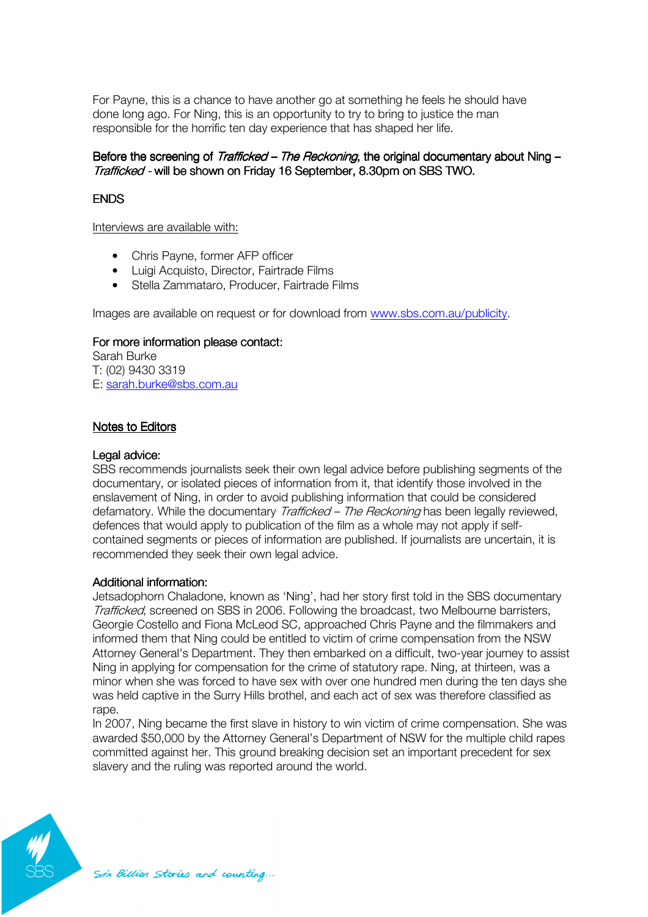For Payne, this is a chance to have another go at something he feels he should have done long ago. For Ning, this is an opportunity to try to bring to justice the man responsible for the horrific ten day experience that has shaped her life.

## Before the screening of Trafficked – The Reckoning, the original documentary about Ning – Trafficked - will be shown on Friday 16 September, 8.30pm on SBS TWO.

# **FNDS**

Interviews are available with:

- Chris Payne, former AFP officer
- Luigi Acquisto, Director, Fairtrade Films
- Stella Zammataro, Producer, Fairtrade Films

Images are available on request or for download from www.sbs.com.au/publicity.

#### For more information please contact:

Sarah Burke T: (02) 9430 3319 E: sarah.burke@sbs.com.au

#### Notes to Editors

#### Legal advice:

SBS recommends journalists seek their own legal advice before publishing segments of the documentary, or isolated pieces of information from it, that identify those involved in the enslavement of Ning, in order to avoid publishing information that could be considered defamatory. While the documentary Trafficked – The Reckoning has been legally reviewed, defences that would apply to publication of the film as a whole may not apply if selfcontained segments or pieces of information are published. If journalists are uncertain, it is recommended they seek their own legal advice.

### Additional information:

Jetsadophorn Chaladone, known as 'Ning', had her story first told in the SBS documentary Trafficked, screened on SBS in 2006. Following the broadcast, two Melbourne barristers, Georgie Costello and Fiona McLeod SC, approached Chris Payne and the filmmakers and informed them that Ning could be entitled to victim of crime compensation from the NSW Attorney General's Department. They then embarked on a difficult, two-year journey to assist Ning in applying for compensation for the crime of statutory rape. Ning, at thirteen, was a minor when she was forced to have sex with over one hundred men during the ten days she was held captive in the Surry Hills brothel, and each act of sex was therefore classified as rape.

In 2007, Ning became the first slave in history to win victim of crime compensation. She was awarded \$50,000 by the Attorney General's Department of NSW for the multiple child rapes committed against her. This ground breaking decision set an important precedent for sex slavery and the ruling was reported around the world.